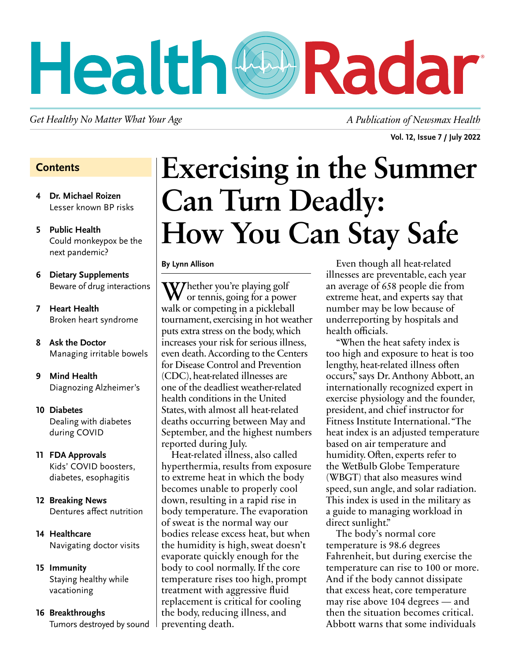# Health CDRadar

Get Healthy No Matter What Your Age *A Publication of Newsmax Health* 

**Vol. 12, Issue 7 / July 2022**

#### **Contents**

- **4 Dr. Michael Roizen** Lesser known BP risks
- **5 Public Health** Could monkeypox be the next pandemic?
- **6 Dietary Supplements** Beware of drug interactions
- **7 Heart Health** Broken heart syndrome
- **8 Ask the Doctor** Managing irritable bowels
- **9 Mind Health** Diagnozing Alzheimer's
- **10 Diabetes** Dealing with diabetes during COVID
- **11 FDA Approvals** Kids' COVID boosters, diabetes, esophagitis
- **12 Breaking News** Dentures affect nutrition
- **14 Healthcare** Navigating doctor visits
- **15 Immunity** Staying healthy while vacationing
- **16 Breakthroughs** Tumors destroyed by sound

# **Exercising in the Summer Can Turn Deadly: How You Can Stay Safe**

#### **By Lynn Allison**

W/hether you're playing golf or tennis, going for a power walk or competing in a pickleball tournament, exercising in hot weather puts extra stress on the body, which increases your risk for serious illness, even death. According to the Centers for Disease Control and Prevention (CDC), heat-related illnesses are one of the deadliest weather-related health conditions in the United States, with almost all heat-related deaths occurring between May and September, and the highest numbers reported during July.

Heat-related illness, also called hyperthermia, results from exposure to extreme heat in which the body becomes unable to properly cool down, resulting in a rapid rise in body temperature. The evaporation of sweat is the normal way our bodies release excess heat, but when the humidity is high, sweat doesn't evaporate quickly enough for the body to cool normally. If the core temperature rises too high, prompt treatment with aggressive fluid replacement is critical for cooling the body, reducing illness, and preventing death.

Even though all heat-related illnesses are preventable, each year an average of 658 people die from extreme heat, and experts say that number may be low because of underreporting by hospitals and health officials.

"When the heat safety index is too high and exposure to heat is too lengthy, heat-related illness often occurs," says Dr. Anthony Abbott, an internationally recognized expert in exercise physiology and the founder, president, and chief instructor for Fitness Institute International. "The heat index is an adjusted temperature based on air temperature and humidity. Often, experts refer to the WetBulb Globe Temperature (WBGT) that also measures wind speed, sun angle, and solar radiation. This index is used in the military as a guide to managing workload in direct sunlight."

The body's normal core temperature is 98.6 degrees Fahrenheit, but during exercise the temperature can rise to 100 or more. And if the body cannot dissipate that excess heat, core temperature may rise above 104 degrees — and then the situation becomes critical. Abbott warns that some individuals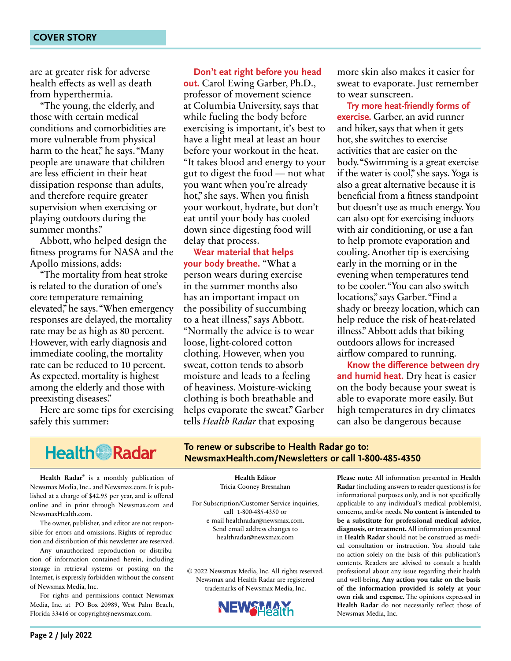are at greater risk for adverse health effects as well as death from hyperthermia.

"The young, the elderly, and those with certain medical conditions and comorbidities are more vulnerable from physical harm to the heat," he says. "Many people are unaware that children are less efficient in their heat dissipation response than adults, and therefore require greater supervision when exercising or playing outdoors during the summer months."

Abbott, who helped design the fitness programs for NASA and the Apollo missions, adds:

"The mortality from heat stroke is related to the duration of one's core temperature remaining elevated," he says. "When emergency responses are delayed, the mortality rate may be as high as 80 percent. However, with early diagnosis and immediate cooling, the mortality rate can be reduced to 10 percent. As expected, mortality is highest among the elderly and those with preexisting diseases."

Here are some tips for exercising safely this summer:

**Don't eat right before you head out.** Carol Ewing Garber, Ph.D., professor of movement science at Columbia University, says that while fueling the body before exercising is important, it's best to have a light meal at least an hour before your workout in the heat. "It takes blood and energy to your gut to digest the food — not what you want when you're already hot," she says. When you finish your workout, hydrate, but don't eat until your body has cooled down since digesting food will delay that process.

**Wear material that helps your body breathe.** "What a person wears during exercise in the summer months also has an important impact on the possibility of succumbing to a heat illness," says Abbott. "Normally the advice is to wear loose, light-colored cotton clothing. However, when you sweat, cotton tends to absorb moisture and leads to a feeling of heaviness. Moisture-wicking clothing is both breathable and helps evaporate the sweat." Garber tells *Health Radar* that exposing

more skin also makes it easier for sweat to evaporate. Just remember to wear sunscreen.

**Try more heat-friendly forms of exercise.** Garber, an avid runner and hiker, says that when it gets hot, she switches to exercise activities that are easier on the body. "Swimming is a great exercise if the water is cool," she says. Yoga is also a great alternative because it is beneficial from a fitness standpoint but doesn't use as much energy. You can also opt for exercising indoors with air conditioning, or use a fan to help promote evaporation and cooling. Another tip is exercising early in the morning or in the evening when temperatures tend to be cooler. "You can also switch locations," says Garber. "Find a shady or breezy location, which can help reduce the risk of heat-related illness." Abbott adds that biking outdoors allows for increased airflow compared to running.

**Know the difference between dry and humid heat.** Dry heat is easier on the body because your sweat is able to evaporate more easily. But high temperatures in dry climates can also be dangerous because

### **Health Radar**

**Health Radar**® is a monthly publication of Newsmax Media, Inc., and Newsmax.com. It is published at a charge of \$42.95 per year, and is offered online and in print through Newsmax.com and NewsmaxHealth.com.

The owner, publisher, and editor are not responsible for errors and omissions. Rights of reproduction and distribution of this newsletter are reserved.

Any unauthorized reproduction or distribution of information contained herein, including storage in retrieval systems or posting on the Internet, is expressly forbidden without the consent of Newsmax Media, Inc.

For rights and permissions contact Newsmax Media, Inc. at PO Box 20989, West Palm Beach, Florida 33416 or copyright@newsmax.com.

**To renew or subscribe to Health Radar go to: NewsmaxHealth.com/Newsletters or call 1-800-485-4350**

> **Health Editor** Tricia Cooney Bresnahan

For Subscription/Customer Service inquiries, call 1-800-485-4350 or e-mail healthradar@newsmax.com. Send email address changes to healthradar@newsmax.com

© 2022 Newsmax Media, Inc. All rights reserved. Newsmax and Health Radar are registered trademarks of Newsmax Media, Inc.



**Please note:** All information presented in **Health Radar** (including answers to reader questions) is for informational purposes only, and is not specifically applicable to any individual's medical problem(s), concerns, and/or needs. **No content is intended to be a substitute for professional medical advice, diagnosis, or treatment.** All information presented in **Health Radar** should not be construed as medical consultation or instruction. You should take no action solely on the basis of this publication's contents. Readers are advised to consult a health professional about any issue regarding their health and well-being. **Any action you take on the basis of the information provided is solely at your own risk and expense.** The opinions expressed in **Health Radar** do not necessarily reflect those of Newsmax Media, Inc.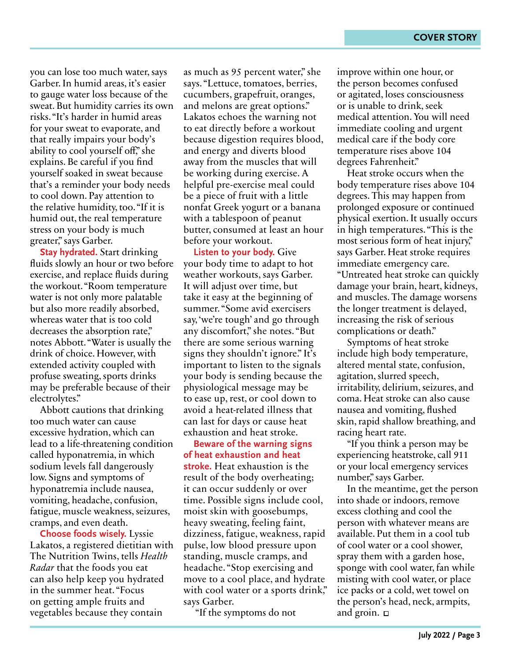you can lose too much water, says Garber. In humid areas, it's easier to gauge water loss because of the sweat. But humidity carries its own risks. "It's harder in humid areas for your sweat to evaporate, and that really impairs your body's ability to cool yourself off," she explains. Be careful if you find yourself soaked in sweat because that's a reminder your body needs to cool down. Pay attention to the relative humidity, too. "If it is humid out, the real temperature stress on your body is much greater," says Garber.

**Stay hydrated.** Start drinking fluids slowly an hour or two before exercise, and replace fluids during the workout. "Room temperature water is not only more palatable but also more readily absorbed, whereas water that is too cold decreases the absorption rate," notes Abbott. "Water is usually the drink of choice. However, with extended activity coupled with profuse sweating, sports drinks may be preferable because of their electrolytes."

Abbott cautions that drinking too much water can cause excessive hydration, which can lead to a life-threatening condition called hyponatremia, in which sodium levels fall dangerously low. Signs and symptoms of hyponatremia include nausea, vomiting, headache, confusion, fatigue, muscle weakness, seizures, cramps, and even death.

**Choose foods wisely.** Lyssie Lakatos, a registered dietitian with The Nutrition Twins, tells *Health Radar* that the foods you eat can also help keep you hydrated in the summer heat. "Focus on getting ample fruits and vegetables because they contain

as much as 95 percent water," she says. "Lettuce, tomatoes, berries, cucumbers, grapefruit, oranges, and melons are great options." Lakatos echoes the warning not to eat directly before a workout because digestion requires blood, and energy and diverts blood away from the muscles that will be working during exercise. A helpful pre-exercise meal could be a piece of fruit with a little nonfat Greek yogurt or a banana with a tablespoon of peanut butter, consumed at least an hour before your workout.

**Listen to your body.** Give your body time to adapt to hot weather workouts, says Garber. It will adjust over time, but take it easy at the beginning of summer. "Some avid exercisers say, 'we're tough' and go through any discomfort," she notes. "But there are some serious warning signs they shouldn't ignore." It's important to listen to the signals your body is sending because the physiological message may be to ease up, rest, or cool down to avoid a heat-related illness that can last for days or cause heat exhaustion and heat stroke.

**Beware of the warning signs of heat exhaustion and heat stroke.** Heat exhaustion is the result of the body overheating; it can occur suddenly or over time. Possible signs include cool, moist skin with goosebumps, heavy sweating, feeling faint, dizziness, fatigue, weakness, rapid pulse, low blood pressure upon standing, muscle cramps, and headache. "Stop exercising and move to a cool place, and hydrate with cool water or a sports drink," says Garber.

"If the symptoms do not

improve within one hour, or the person becomes confused or agitated, loses consciousness or is unable to drink, seek medical attention. You will need immediate cooling and urgent medical care if the body core temperature rises above 104 degrees Fahrenheit."

Heat stroke occurs when the body temperature rises above 104 degrees. This may happen from prolonged exposure or continued physical exertion. It usually occurs in high temperatures. "This is the most serious form of heat injury," says Garber. Heat stroke requires immediate emergency care. "Untreated heat stroke can quickly damage your brain, heart, kidneys, and muscles. The damage worsens the longer treatment is delayed, increasing the risk of serious complications or death."

Symptoms of heat stroke include high body temperature, altered mental state, confusion, agitation, slurred speech, irritability, delirium, seizures, and coma. Heat stroke can also cause nausea and vomiting, flushed skin, rapid shallow breathing, and racing heart rate.

"If you think a person may be experiencing heatstroke, call 911 or your local emergency services number," says Garber.

In the meantime, get the person into shade or indoors, remove excess clothing and cool the person with whatever means are available. Put them in a cool tub of cool water or a cool shower, spray them with a garden hose, sponge with cool water, fan while misting with cool water, or place ice packs or a cold, wet towel on the person's head, neck, armpits, and groin.  $\Box$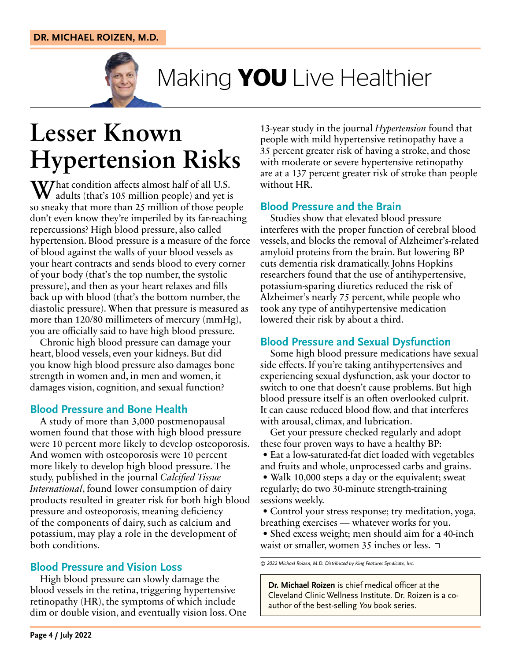

Making **YOU** Live Healthier

### **Lesser Known Hypertension Risks**

What condition affects almost half of all U.S.<br>
dults (that's 105 million people) and yet is so sneaky that more than 25 million of those people don't even know they're imperiled by its far-reaching repercussions? High blood pressure, also called hypertension. Blood pressure is a measure of the force of blood against the walls of your blood vessels as your heart contracts and sends blood to every corner of your body (that's the top number, the systolic pressure), and then as your heart relaxes and fills back up with blood (that's the bottom number, the diastolic pressure). When that pressure is measured as more than 120/80 millimeters of mercury (mmHg), you are officially said to have high blood pressure.

Chronic high blood pressure can damage your heart, blood vessels, even your kidneys. But did you know high blood pressure also damages bone strength in women and, in men and women, it damages vision, cognition, and sexual function?

#### **Blood Pressure and Bone Health**

A study of more than 3,000 postmenopausal women found that those with high blood pressure were 10 percent more likely to develop osteoporosis. And women with osteoporosis were 10 percent more likely to develop high blood pressure. The study, published in the journal *Calcified Tissue International*, found lower consumption of dairy products resulted in greater risk for both high blood pressure and osteoporosis, meaning deficiency of the components of dairy, such as calcium and potassium, may play a role in the development of both conditions.

#### **Blood Pressure and Vision Loss**

High blood pressure can slowly damage the blood vessels in the retina, triggering hypertensive retinopathy (HR), the symptoms of which include dim or double vision, and eventually vision loss. One 13-year study in the journal *Hypertension* found that people with mild hypertensive retinopathy have a 35 percent greater risk of having a stroke, and those with moderate or severe hypertensive retinopathy are at a 137 percent greater risk of stroke than people without HR.

#### **Blood Pressure and the Brain**

Studies show that elevated blood pressure interferes with the proper function of cerebral blood vessels, and blocks the removal of Alzheimer's-related amyloid proteins from the brain. But lowering BP cuts dementia risk dramatically. Johns Hopkins researchers found that the use of antihypertensive, potassium-sparing diuretics reduced the risk of Alzheimer's nearly 75 percent, while people who took any type of antihypertensive medication lowered their risk by about a third.

#### **Blood Pressure and Sexual Dysfunction**

Some high blood pressure medications have sexual side effects. If you're taking antihypertensives and experiencing sexual dysfunction, ask your doctor to switch to one that doesn't cause problems. But high blood pressure itself is an often overlooked culprit. It can cause reduced blood flow, and that interferes with arousal, climax, and lubrication.

Get your pressure checked regularly and adopt these four proven ways to have a healthy BP: • Eat a low-saturated-fat diet loaded with vegetables

and fruits and whole, unprocessed carbs and grains. • Walk 10,000 steps a day or the equivalent; sweat

regularly; do two 30-minute strength-training sessions weekly.

• Control your stress response; try meditation, yoga, breathing exercises — whatever works for you.

• Shed excess weight; men should aim for a 40-inch waist or smaller, women 35 inches or less.  $\Box$ 

*© 2022 Michael Roizen, M.D. Distributed by King Features Syndicate, Inc.*

**Dr. Michael Roizen** is chief medical officer at the Cleveland Clinic Wellness Institute. Dr. Roizen is a coauthor of the best-selling *You* book series.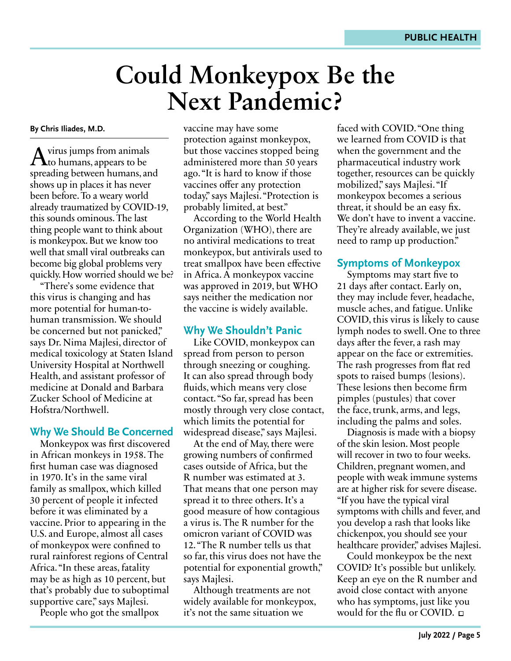### **Could Monkeypox Be the Next Pandemic?**

**By Chris Iliades, M.D.**

 $A<sub>1</sub>$  virus jumps from animals<br>to humans, appears to be spreading between humans, and shows up in places it has never been before. To a weary world already traumatized by COVID-19, this sounds ominous. The last thing people want to think about is monkeypox. But we know too well that small viral outbreaks can become big global problems very quickly. How worried should we be?

"There's some evidence that this virus is changing and has more potential for human-tohuman transmission. We should be concerned but not panicked," says Dr. Nima Majlesi, director of medical toxicology at Staten Island University Hospital at Northwell Health, and assistant professor of medicine at Donald and Barbara Zucker School of Medicine at Hofstra/Northwell.

#### **Why We Should Be Concerned**

Monkeypox was first discovered in African monkeys in 1958. The first human case was diagnosed in 1970. It's in the same viral family as smallpox, which killed 30 percent of people it infected before it was eliminated by a vaccine. Prior to appearing in the U.S. and Europe, almost all cases of monkeypox were confined to rural rainforest regions of Central Africa. "In these areas, fatality may be as high as 10 percent, but that's probably due to suboptimal supportive care," says Majlesi.

People who got the smallpox

vaccine may have some protection against monkeypox, but those vaccines stopped being administered more than 50 years ago. "It is hard to know if those vaccines offer any protection today," says Majlesi. "Protection is probably limited, at best."

According to the World Health Organization (WHO), there are no antiviral medications to treat monkeypox, but antivirals used to treat smallpox have been effective in Africa. A monkeypox vaccine was approved in 2019, but WHO says neither the medication nor the vaccine is widely available.

#### **Why We Shouldn't Panic**

Like COVID, monkeypox can spread from person to person through sneezing or coughing. It can also spread through body fluids, which means very close contact. "So far, spread has been mostly through very close contact, which limits the potential for widespread disease," says Majlesi.

At the end of May, there were growing numbers of confirmed cases outside of Africa, but the R number was estimated at 3. That means that one person may spread it to three others. It's a good measure of how contagious a virus is. The R number for the omicron variant of COVID was 12. "The R number tells us that so far, this virus does not have the potential for exponential growth," says Majlesi.

Although treatments are not widely available for monkeypox, it's not the same situation we

faced with COVID. "One thing we learned from COVID is that when the government and the pharmaceutical industry work together, resources can be quickly mobilized," says Majlesi. "If monkeypox becomes a serious threat, it should be an easy fix. We don't have to invent a vaccine. They're already available, we just need to ramp up production."

#### **Symptoms of Monkeypox**

Symptoms may start five to 21 days after contact. Early on, they may include fever, headache, muscle aches, and fatigue. Unlike COVID, this virus is likely to cause lymph nodes to swell. One to three days after the fever, a rash may appear on the face or extremities. The rash progresses from flat red spots to raised bumps (lesions). These lesions then become firm pimples (pustules) that cover the face, trunk, arms, and legs, including the palms and soles.

Diagnosis is made with a biopsy of the skin lesion. Most people will recover in two to four weeks. Children, pregnant women, and people with weak immune systems are at higher risk for severe disease. "If you have the typical viral symptoms with chills and fever, and you develop a rash that looks like chickenpox, you should see your healthcare provider," advises Majlesi.

Could monkeypox be the next COVID? It's possible but unlikely. Keep an eye on the R number and avoid close contact with anyone who has symptoms, just like you would for the flu or COVID.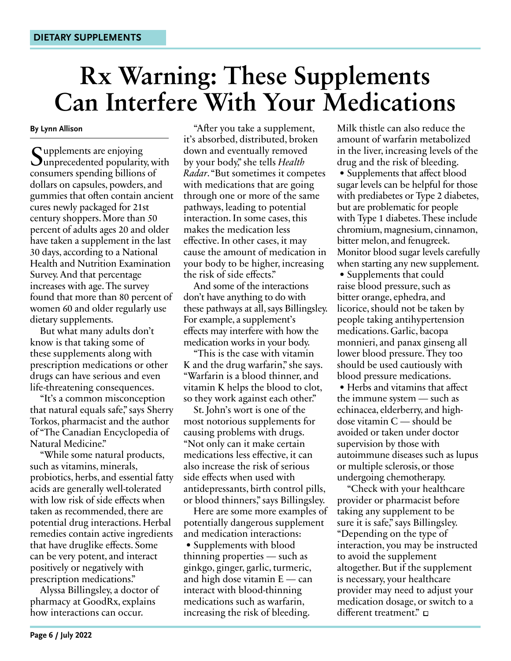## **Rx Warning: These Supplements Can Interfere With Your Medications**

**By Lynn Allison**

Supplements are enjoying<br>Sunprecedented popularity, with consumers spending billions of dollars on capsules, powders, and gummies that often contain ancient cures newly packaged for 21st century shoppers. More than 50 percent of adults ages 20 and older have taken a supplement in the last 30 days, according to a National Health and Nutrition Examination Survey. And that percentage increases with age. The survey found that more than 80 percent of women 60 and older regularly use dietary supplements.

But what many adults don't know is that taking some of these supplements along with prescription medications or other drugs can have serious and even life-threatening consequences.

"It's a common misconception that natural equals safe," says Sherry Torkos, pharmacist and the author of "The Canadian Encyclopedia of Natural Medicine."

"While some natural products, such as vitamins, minerals, probiotics, herbs, and essential fatty acids are generally well-tolerated with low risk of side effects when taken as recommended, there are potential drug interactions. Herbal remedies contain active ingredients that have druglike effects. Some can be very potent, and interact positively or negatively with prescription medications."

Alyssa Billingsley, a doctor of pharmacy at GoodRx, explains how interactions can occur.

"After you take a supplement, it's absorbed, distributed, broken down and eventually removed by your body," she tells *Health Radar*. "But sometimes it competes with medications that are going through one or more of the same pathways, leading to potential interaction. In some cases, this makes the medication less effective. In other cases, it may cause the amount of medication in your body to be higher, increasing the risk of side effects."

And some of the interactions don't have anything to do with these pathways at all, says Billingsley. For example, a supplement's effects may interfere with how the medication works in your body.

"This is the case with vitamin K and the drug warfarin," she says. "Warfarin is a blood thinner, and vitamin K helps the blood to clot, so they work against each other."

St. John's wort is one of the most notorious supplements for causing problems with drugs. "Not only can it make certain medications less effective, it can also increase the risk of serious side effects when used with antidepressants, birth control pills, or blood thinners," says Billingsley.

Here are some more examples of potentially dangerous supplement and medication interactions: • Supplements with blood thinning properties — such as ginkgo, ginger, garlic, turmeric, and high dose vitamin E — can interact with blood-thinning medications such as warfarin, increasing the risk of bleeding.

Milk thistle can also reduce the amount of warfarin metabolized in the liver, increasing levels of the drug and the risk of bleeding.

• Supplements that affect blood sugar levels can be helpful for those with prediabetes or Type 2 diabetes, but are problematic for people with Type 1 diabetes. These include chromium, magnesium, cinnamon, bitter melon, and fenugreek. Monitor blood sugar levels carefully when starting any new supplement.

• Supplements that could raise blood pressure, such as bitter orange, ephedra, and licorice, should not be taken by people taking antihypertension medications. Garlic, bacopa monnieri, and panax ginseng all lower blood pressure. They too should be used cautiously with blood pressure medications.

• Herbs and vitamins that affect the immune system — such as echinacea, elderberry, and highdose vitamin C — should be avoided or taken under doctor supervision by those with autoimmune diseases such as lupus or multiple sclerosis, or those undergoing chemotherapy.

"Check with your healthcare provider or pharmacist before taking any supplement to be sure it is safe," says Billingsley. "Depending on the type of interaction, you may be instructed to avoid the supplement altogether. But if the supplement is necessary, your healthcare provider may need to adjust your medication dosage, or switch to a different treatment."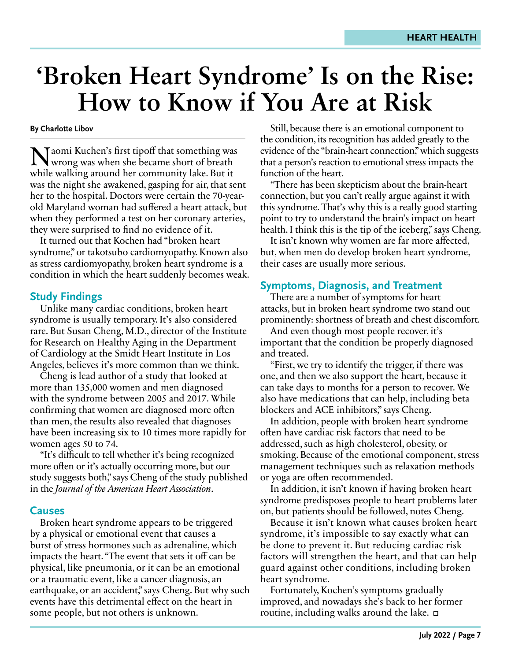### **'Broken Heart Syndrome' Is on the Rise: How to Know if You Are at Risk**

**By Charlotte Libov**

Naomi Kuchen's first tipoff that something was wrong was when she became short of breath while walking around her community lake. But it was the night she awakened, gasping for air, that sent her to the hospital. Doctors were certain the 70-yearold Maryland woman had suffered a heart attack, but when they performed a test on her coronary arteries, they were surprised to find no evidence of it.

It turned out that Kochen had "broken heart syndrome," or takotsubo cardiomyopathy. Known also as stress cardiomyopathy, broken heart syndrome is a condition in which the heart suddenly becomes weak.

#### **Study Findings**

Unlike many cardiac conditions, broken heart syndrome is usually temporary. It's also considered rare. But Susan Cheng, M.D., director of the Institute for Research on Healthy Aging in the Department of Cardiology at the Smidt Heart Institute in Los Angeles, believes it's more common than we think.

Cheng is lead author of a study that looked at more than 135,000 women and men diagnosed with the syndrome between 2005 and 2017. While confirming that women are diagnosed more often than men, the results also revealed that diagnoses have been increasing six to 10 times more rapidly for women ages 50 to 74.

"It's difficult to tell whether it's being recognized more often or it's actually occurring more, but our study suggests both," says Cheng of the study published in the *Journal of the American Heart Association*.

#### **Causes**

Broken heart syndrome appears to be triggered by a physical or emotional event that causes a burst of stress hormones such as adrenaline, which impacts the heart. "The event that sets it off can be physical, like pneumonia, or it can be an emotional or a traumatic event, like a cancer diagnosis, an earthquake, or an accident," says Cheng. But why such events have this detrimental effect on the heart in some people, but not others is unknown.

Still, because there is an emotional component to the condition, its recognition has added greatly to the evidence of the "brain-heart connection," which suggests that a person's reaction to emotional stress impacts the function of the heart.

"There has been skepticism about the brain-heart connection, but you can't really argue against it with this syndrome. That's why this is a really good starting point to try to understand the brain's impact on heart health. I think this is the tip of the iceberg," says Cheng.

It isn't known why women are far more affected, but, when men do develop broken heart syndrome, their cases are usually more serious.

#### **Symptoms, Diagnosis, and Treatment**

There are a number of symptoms for heart attacks, but in broken heart syndrome two stand out prominently: shortness of breath and chest discomfort.

And even though most people recover, it's important that the condition be properly diagnosed and treated.

"First, we try to identify the trigger, if there was one, and then we also support the heart, because it can take days to months for a person to recover. We also have medications that can help, including beta blockers and ACE inhibitors," says Cheng.

In addition, people with broken heart syndrome often have cardiac risk factors that need to be addressed, such as high cholesterol, obesity, or smoking. Because of the emotional component, stress management techniques such as relaxation methods or yoga are often recommended.

In addition, it isn't known if having broken heart syndrome predisposes people to heart problems later on, but patients should be followed, notes Cheng.

Because it isn't known what causes broken heart syndrome, it's impossible to say exactly what can be done to prevent it. But reducing cardiac risk factors will strengthen the heart, and that can help guard against other conditions, including broken heart syndrome.

Fortunately, Kochen's symptoms gradually improved, and nowadays she's back to her former routine, including walks around the lake.  $\Box$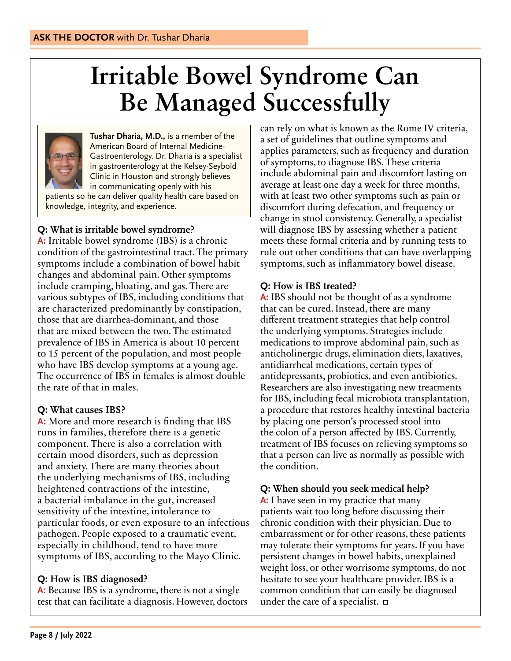## **Irritable Bowel Syndrome Can Be Managed Successfully**



**Tushar Dharia, M.D.,** is a member of the American Board of Internal Medicine-Gastroenterology. Dr. Dharia is a specialist in gastroenterology at the Kelsey-Seybold Clinic in Houston and strongly believes in communicating openly with his patients so he can deliver quality health care based on knowledge, integrity, and experience.

#### **Q: What is irritable bowel syndrome?**

**A:** Irritable bowel syndrome (IBS) is a chronic condition of the gastrointestinal tract. The primary symptoms include a combination of bowel habit changes and abdominal pain. Other symptoms include cramping, bloating, and gas. There are various subtypes of IBS, including conditions that are characterized predominantly by constipation, those that are diarrhea-dominant, and those that are mixed between the two. The estimated prevalence of IBS in America is about 10 percent to 15 percent of the population, and most people who have IBS develop symptoms at a young age. The occurrence of IBS in females is almost double the rate of that in males.

#### **Q: What causes IBS?**

**A:** More and more research is finding that IBS runs in families, therefore there is a genetic component. There is also a correlation with certain mood disorders, such as depression and anxiety. There are many theories about the underlying mechanisms of IBS, including heightened contractions of the intestine, a bacterial imbalance in the gut, increased sensitivity of the intestine, intolerance to particular foods, or even exposure to an infectious pathogen. People exposed to a traumatic event, especially in childhood, tend to have more symptoms of IBS, according to the Mayo Clinic.

#### **Q: How is IBS diagnosed?**

**A:** Because IBS is a syndrome, there is not a single test that can facilitate a diagnosis. However, doctors can rely on what is known as the Rome IV criteria, a set of guidelines that outline symptoms and applies parameters, such as frequency and duration of symptoms, to diagnose IBS. These criteria include abdominal pain and discomfort lasting on average at least one day a week for three months, with at least two other symptoms such as pain or discomfort during defecation, and frequency or change in stool consistency. Generally, a specialist will diagnose IBS by assessing whether a patient meets these formal criteria and by running tests to rule out other conditions that can have overlapping symptoms, such as inflammatory bowel disease.

#### **Q: How is IBS treated?**

**A:** IBS should not be thought of as a syndrome that can be cured. Instead, there are many different treatment strategies that help control the underlying symptoms. Strategies include medications to improve abdominal pain, such as anticholinergic drugs, elimination diets, laxatives, antidiarrheal medications, certain types of antidepressants, probiotics, and even antibiotics. Researchers are also investigating new treatments for IBS, including fecal microbiota transplantation, a procedure that restores healthy intestinal bacteria by placing one person's processed stool into the colon of a person affected by IBS. Currently, treatment of IBS focuses on relieving symptoms so that a person can live as normally as possible with the condition.

#### **Q: When should you seek medical help?**

**A:** I have seen in my practice that many patients wait too long before discussing their chronic condition with their physician. Due to embarrassment or for other reasons, these patients may tolerate their symptoms for years. If you have persistent changes in bowel habits, unexplained weight loss, or other worrisome symptoms, do not hesitate to see your healthcare provider. IBS is a common condition that can easily be diagnosed under the care of a specialist.  $\Box$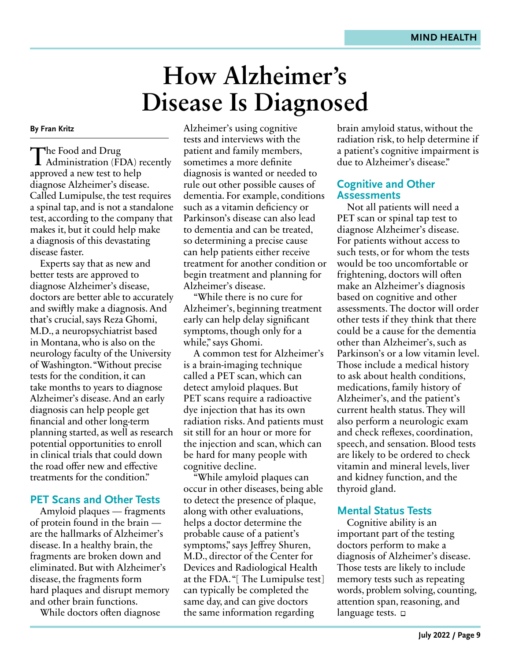### **How Alzheimer's Disease Is Diagnosed**

#### **By Fran Kritz**

The Food and Drug<br>
Administration (FDA) recently approved a new test to help diagnose Alzheimer's disease. Called Lumipulse, the test requires a spinal tap, and is not a standalone test, according to the company that makes it, but it could help make a diagnosis of this devastating disease faster.

Experts say that as new and better tests are approved to diagnose Alzheimer's disease, doctors are better able to accurately and swiftly make a diagnosis. And that's crucial, says Reza Ghomi, M.D., a neuropsychiatrist based in Montana, who is also on the neurology faculty of the University of Washington. "Without precise tests for the condition, it can take months to years to diagnose Alzheimer's disease. And an early diagnosis can help people get financial and other long-term planning started, as well as research potential opportunities to enroll in clinical trials that could down the road offer new and effective treatments for the condition."

#### **PET Scans and Other Tests**

Amyloid plaques — fragments of protein found in the brain are the hallmarks of Alzheimer's disease. In a healthy brain, the fragments are broken down and eliminated. But with Alzheimer's disease, the fragments form hard plaques and disrupt memory and other brain functions.

While doctors often diagnose

Alzheimer's using cognitive tests and interviews with the patient and family members, sometimes a more definite diagnosis is wanted or needed to rule out other possible causes of dementia. For example, conditions such as a vitamin deficiency or Parkinson's disease can also lead to dementia and can be treated, so determining a precise cause can help patients either receive treatment for another condition or begin treatment and planning for Alzheimer's disease.

"While there is no cure for Alzheimer's, beginning treatment early can help delay significant symptoms, though only for a while," says Ghomi.

A common test for Alzheimer's is a brain-imaging technique called a PET scan, which can detect amyloid plaques. But PET scans require a radioactive dye injection that has its own radiation risks. And patients must sit still for an hour or more for the injection and scan, which can be hard for many people with cognitive decline.

"While amyloid plaques can occur in other diseases, being able to detect the presence of plaque, along with other evaluations, helps a doctor determine the probable cause of a patient's symptoms," says Jeffrey Shuren, M.D., director of the Center for Devices and Radiological Health at the FDA. "[ The Lumipulse test] can typically be completed the same day, and can give doctors the same information regarding

brain amyloid status, without the radiation risk, to help determine if a patient's cognitive impairment is due to Alzheimer's disease."

#### **Cognitive and Other Assessments**

Not all patients will need a PET scan or spinal tap test to diagnose Alzheimer's disease. For patients without access to such tests, or for whom the tests would be too uncomfortable or frightening, doctors will often make an Alzheimer's diagnosis based on cognitive and other assessments. The doctor will order other tests if they think that there could be a cause for the dementia other than Alzheimer's, such as Parkinson's or a low vitamin level. Those include a medical history to ask about health conditions, medications, family history of Alzheimer's, and the patient's current health status. They will also perform a neurologic exam and check reflexes, coordination, speech, and sensation. Blood tests are likely to be ordered to check vitamin and mineral levels, liver and kidney function, and the thyroid gland.

#### **Mental Status Tests**

Cognitive ability is an important part of the testing doctors perform to make a diagnosis of Alzheimer's disease. Those tests are likely to include memory tests such as repeating words, problem solving, counting, attention span, reasoning, and language tests.  $\square$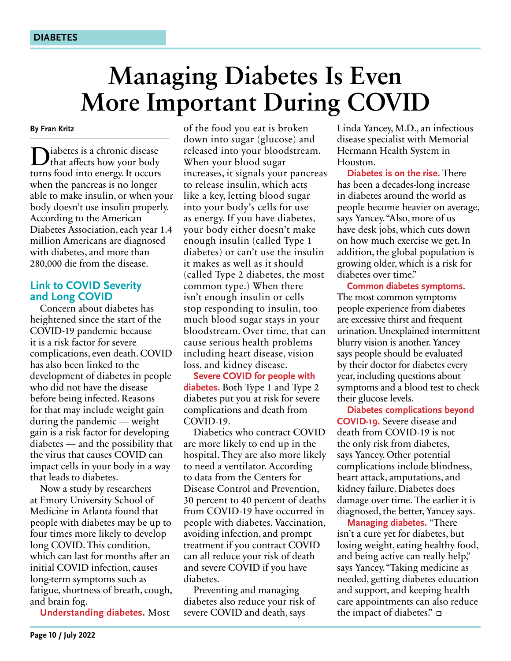### **Managing Diabetes Is Even More Important During COVID**

**By Fran Kritz**

Diabetes is a chronic disease<br>that affects how your body turns food into energy. It occurs when the pancreas is no longer able to make insulin, or when your body doesn't use insulin properly. According to the American Diabetes Association, each year 1.4 million Americans are diagnosed with diabetes, and more than 280,000 die from the disease.

#### **Link to COVID Severity and Long COVID**

Concern about diabetes has heightened since the start of the COVID-19 pandemic because it is a risk factor for severe complications, even death. COVID has also been linked to the development of diabetes in people who did not have the disease before being infected. Reasons for that may include weight gain during the pandemic — weight gain is a risk factor for developing diabetes — and the possibility that the virus that causes COVID can impact cells in your body in a way that leads to diabetes.

Now a study by researchers at Emory University School of Medicine in Atlanta found that people with diabetes may be up to four times more likely to develop long COVID. This condition, which can last for months after an initial COVID infection, causes long-term symptoms such as fatigue, shortness of breath, cough, and brain fog.

**Understanding diabetes.** Most

of the food you eat is broken down into sugar (glucose) and released into your bloodstream. When your blood sugar increases, it signals your pancreas to release insulin, which acts like a key, letting blood sugar into your body's cells for use as energy. If you have diabetes, your body either doesn't make enough insulin (called Type 1 diabetes) or can't use the insulin it makes as well as it should (called Type 2 diabetes, the most common type.) When there isn't enough insulin or cells stop responding to insulin, too much blood sugar stays in your bloodstream. Over time, that can cause serious health problems including heart disease, vision loss, and kidney disease.

**Severe COVID for people with diabetes.** Both Type 1 and Type 2 diabetes put you at risk for severe complications and death from COVID-19.

Diabetics who contract COVID are more likely to end up in the hospital. They are also more likely to need a ventilator. According to data from the Centers for Disease Control and Prevention, 30 percent to 40 percent of deaths from COVID-19 have occurred in people with diabetes. Vaccination, avoiding infection, and prompt treatment if you contract COVID can all reduce your risk of death and severe COVID if you have diabetes.

Preventing and managing diabetes also reduce your risk of severe COVID and death, says

Linda Yancey, M.D., an infectious disease specialist with Memorial Hermann Health System in Houston.

**Diabetes is on the rise.** There has been a decades-long increase in diabetes around the world as people become heavier on average, says Yancey. "Also, more of us have desk jobs, which cuts down on how much exercise we get. In addition, the global population is growing older, which is a risk for diabetes over time."

**Common diabetes symptoms.**  The most common symptoms people experience from diabetes are excessive thirst and frequent urination. Unexplained intermittent blurry vision is another. Yancey says people should be evaluated by their doctor for diabetes every year, including questions about symptoms and a blood test to check their glucose levels.

**Diabetes complications beyond COVID-19.** Severe disease and death from COVID-19 is not the only risk from diabetes, says Yancey. Other potential complications include blindness, heart attack, amputations, and kidney failure. Diabetes does damage over time. The earlier it is diagnosed, the better, Yancey says.

**Managing diabetes.** "There isn't a cure yet for diabetes, but losing weight, eating healthy food, and being active can really help," says Yancey. "Taking medicine as needed, getting diabetes education and support, and keeping health care appointments can also reduce the impact of diabetes."  $\square$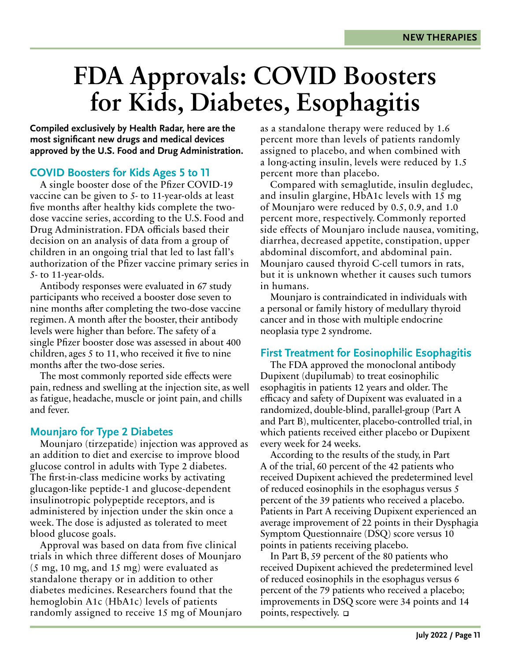### **FDA Approvals: COVID Boosters for Kids, Diabetes, Esophagitis**

**Compiled exclusively by Health Radar, here are the most significant new drugs and medical devices approved by the U.S. Food and Drug Administration.**

#### **COVID Boosters for Kids Ages 5 to 11**

A single booster dose of the Pfizer COVID-19 vaccine can be given to 5- to 11-year-olds at least five months after healthy kids complete the twodose vaccine series, according to the U.S. Food and Drug Administration. FDA officials based their decision on an analysis of data from a group of children in an ongoing trial that led to last fall's authorization of the Pfizer vaccine primary series in 5- to 11-year-olds.

Antibody responses were evaluated in 67 study participants who received a booster dose seven to nine months after completing the two-dose vaccine regimen. A month after the booster, their antibody levels were higher than before. The safety of a single Pfizer booster dose was assessed in about 400 children, ages 5 to 11, who received it five to nine months after the two-dose series.

The most commonly reported side effects were pain, redness and swelling at the injection site, as well as fatigue, headache, muscle or joint pain, and chills and fever.

#### **Mounjaro for Type 2 Diabetes**

Mounjaro (tirzepatide) injection was approved as an addition to diet and exercise to improve blood glucose control in adults with Type 2 diabetes. The first-in-class medicine works by activating glucagon-like peptide-1 and glucose-dependent insulinotropic polypeptide receptors, and is administered by injection under the skin once a week. The dose is adjusted as tolerated to meet blood glucose goals.

Approval was based on data from five clinical trials in which three different doses of Mounjaro (5 mg, 10 mg, and 15 mg) were evaluated as standalone therapy or in addition to other diabetes medicines. Researchers found that the hemoglobin A1c (HbA1c) levels of patients randomly assigned to receive 15 mg of Mounjaro as a standalone therapy were reduced by 1.6 percent more than levels of patients randomly assigned to placebo, and when combined with a long-acting insulin, levels were reduced by 1.5 percent more than placebo.

Compared with semaglutide, insulin degludec, and insulin glargine, HbA1c levels with 15 mg of Mounjaro were reduced by 0.5, 0.9, and 1.0 percent more, respectively. Commonly reported side effects of Mounjaro include nausea, vomiting, diarrhea, decreased appetite, constipation, upper abdominal discomfort, and abdominal pain. Mounjaro caused thyroid C-cell tumors in rats, but it is unknown whether it causes such tumors in humans.

Mounjaro is contraindicated in individuals with a personal or family history of medullary thyroid cancer and in those with multiple endocrine neoplasia type 2 syndrome.

#### **First Treatment for Eosinophilic Esophagitis**

The FDA approved the monoclonal antibody Dupixent (dupilumab) to treat eosinophilic esophagitis in patients 12 years and older. The efficacy and safety of Dupixent was evaluated in a randomized, double-blind, parallel-group (Part A and Part B), multicenter, placebo-controlled trial, in which patients received either placebo or Dupixent every week for 24 weeks.

According to the results of the study, in Part A of the trial, 60 percent of the 42 patients who received Dupixent achieved the predetermined level of reduced eosinophils in the esophagus versus 5 percent of the 39 patients who received a placebo. Patients in Part A receiving Dupixent experienced an average improvement of 22 points in their Dysphagia Symptom Questionnaire (DSQ) score versus 10 points in patients receiving placebo.

In Part B, 59 percent of the 80 patients who received Dupixent achieved the predetermined level of reduced eosinophils in the esophagus versus 6 percent of the 79 patients who received a placebo; improvements in DSQ score were 34 points and 14 points, respectively.  $\Box$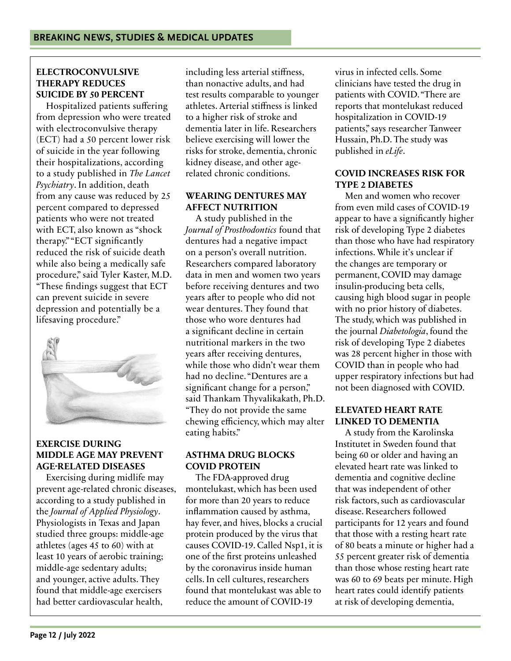#### **ELECTROCONVULSIVE THERAPY REDUCES SUICIDE BY 50 PERCENT**

Hospitalized patients suffering from depression who were treated with electroconvulsive therapy (ECT) had a 50 percent lower risk of suicide in the year following their hospitalizations, according to a study published in *The Lancet Psychiatry*. In addition, death from any cause was reduced by 25 percent compared to depressed patients who were not treated with ECT, also known as "shock therapy." "ECT significantly reduced the risk of suicide death while also being a medically safe procedure," said Tyler Kaster, M.D. "These findings suggest that ECT can prevent suicide in severe depression and potentially be a lifesaving procedure."



#### **EXERCISE DURING MIDDLE AGE MAY PREVENT AGE-RELATED DISEASES**

Exercising during midlife may prevent age-related chronic diseases, according to a study published in the *Journal of Applied Physiology*. Physiologists in Texas and Japan studied three groups: middle-age athletes (ages 45 to 60) with at least 10 years of aerobic training; middle-age sedentary adults; and younger, active adults. They found that middle-age exercisers had better cardiovascular health,

including less arterial stiffness, than nonactive adults, and had test results comparable to younger athletes. Arterial stiffness is linked to a higher risk of stroke and dementia later in life. Researchers believe exercising will lower the risks for stroke, dementia, chronic kidney disease, and other agerelated chronic conditions.

#### **WEARING DENTURES MAY AFFECT NUTRITION**

A study published in the *Journal of Prosthodontics* found that dentures had a negative impact on a person's overall nutrition. Researchers compared laboratory data in men and women two years before receiving dentures and two years after to people who did not wear dentures. They found that those who wore dentures had a significant decline in certain nutritional markers in the two years after receiving dentures, while those who didn't wear them had no decline. "Dentures are a significant change for a person," said Thankam Thyvalikakath, Ph.D. "They do not provide the same chewing efficiency, which may alter eating habits."

#### **ASTHMA DRUG BLOCKS COVID PROTEIN**

The FDA-approved drug montelukast, which has been used for more than 20 years to reduce inflammation caused by asthma, hay fever, and hives, blocks a crucial protein produced by the virus that causes COVID-19. Called Nsp1, it is one of the first proteins unleashed by the coronavirus inside human cells. In cell cultures, researchers found that montelukast was able to reduce the amount of COVID-19

virus in infected cells. Some clinicians have tested the drug in patients with COVID. "There are reports that montelukast reduced hospitalization in COVID-19 patients," says researcher Tanweer Hussain, Ph.D. The study was published in *eLife*.

#### **COVID INCREASES RISK FOR TYPE 2 DIABETES**

Men and women who recover from even mild cases of COVID-19 appear to have a significantly higher risk of developing Type 2 diabetes than those who have had respiratory infections. While it's unclear if the changes are temporary or permanent, COVID may damage insulin-producing beta cells, causing high blood sugar in people with no prior history of diabetes. The study, which was published in the journal *Diabetologia*, found the risk of developing Type 2 diabetes was 28 percent higher in those with COVID than in people who had upper respiratory infections but had not been diagnosed with COVID.

#### **ELEVATED HEART RATE LINKED TO DEMENTIA**

A study from the Karolinska Institutet in Sweden found that being 60 or older and having an elevated heart rate was linked to dementia and cognitive decline that was independent of other risk factors, such as cardiovascular disease. Researchers followed participants for 12 years and found that those with a resting heart rate of 80 beats a minute or higher had a 55 percent greater risk of dementia than those whose resting heart rate was 60 to 69 beats per minute. High heart rates could identify patients at risk of developing dementia,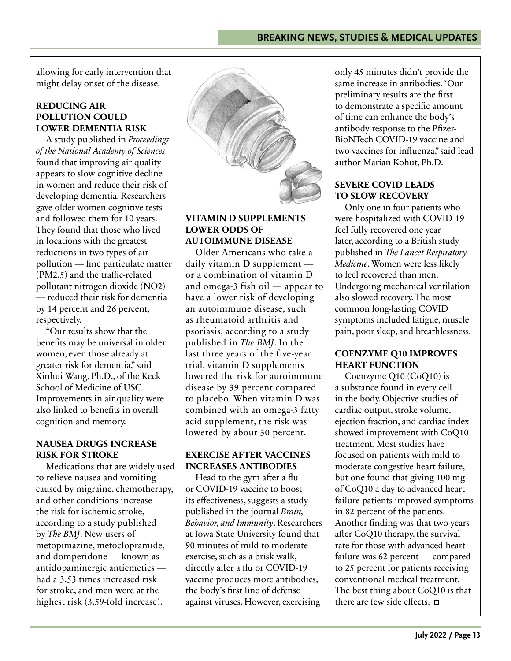allowing for early intervention that might delay onset of the disease.

#### **REDUCING AIR POLLUTION COULD LOWER DEMENTIA RISK**

A study published in *Proceedings of the National Academy of Sciences* found that improving air quality appears to slow cognitive decline in women and reduce their risk of developing dementia. Researchers gave older women cognitive tests and followed them for 10 years. They found that those who lived in locations with the greatest reductions in two types of air pollution — fine particulate matter (PM2.5) and the traffic-related pollutant nitrogen dioxide (NO2) — reduced their risk for dementia by 14 percent and 26 percent, respectively.

"Our results show that the benefits may be universal in older women, even those already at greater risk for dementia," said Xinhui Wang, Ph.D., of the Keck School of Medicine of USC. Improvements in air quality were also linked to benefits in overall cognition and memory.

#### **NAUSEA DRUGS INCREASE RISK FOR STROKE**

Medications that are widely used to relieve nausea and vomiting caused by migraine, chemotherapy, and other conditions increase the risk for ischemic stroke, according to a study published by *The BMJ*. New users of metopimazine, metoclopramide, and domperidone — known as antidopaminergic antiemetics had a 3.53 times increased risk for stroke, and men were at the highest risk (3.59-fold increase).



#### **VITAMIN D SUPPLEMENTS LOWER ODDS OF AUTOIMMUNE DISEASE**

Older Americans who take a daily vitamin D supplement or a combination of vitamin D and omega-3 fish oil — appear to have a lower risk of developing an autoimmune disease, such as rheumatoid arthritis and psoriasis, according to a study published in *The BMJ*. In the last three years of the five-year trial, vitamin D supplements lowered the risk for autoimmune disease by 39 percent compared to placebo. When vitamin D was combined with an omega-3 fatty acid supplement, the risk was lowered by about 30 percent.

#### **EXERCISE AFTER VACCINES INCREASES ANTIBODIES**

Head to the gym after a flu or COVID-19 vaccine to boost its effectiveness, suggests a study published in the journal *Brain, Behavior, and Immunity*. Researchers at Iowa State University found that 90 minutes of mild to moderate exercise, such as a brisk walk, directly after a flu or COVID-19 vaccine produces more antibodies, the body's first line of defense against viruses. However, exercising

only 45 minutes didn't provide the same increase in antibodies. "Our preliminary results are the first to demonstrate a specific amount of time can enhance the body's antibody response to the Pfizer-BioNTech COVID-19 vaccine and two vaccines for influenza," said lead author Marian Kohut, Ph.D.

#### **SEVERE COVID LEADS TO SLOW RECOVERY**

Only one in four patients who were hospitalized with COVID-19 feel fully recovered one year later, according to a British study published in *The Lancet Respiratory Medicine*. Women were less likely to feel recovered than men. Undergoing mechanical ventilation also slowed recovery. The most common long-lasting COVID symptoms included fatigue, muscle pain, poor sleep, and breathlessness.

#### **COENZYME Q10 IMPROVES HEART FUNCTION**

Coenzyme Q10 (CoQ10) is a substance found in every cell in the body. Objective studies of cardiac output, stroke volume, ejection fraction, and cardiac index showed improvement with CoQ10 treatment. Most studies have focused on patients with mild to moderate congestive heart failure, but one found that giving 100 mg of CoQ10 a day to advanced heart failure patients improved symptoms in 82 percent of the patients. Another finding was that two years after CoQ10 therapy, the survival rate for those with advanced heart failure was 62 percent — compared to 25 percent for patients receiving conventional medical treatment. The best thing about CoQ10 is that there are few side effects.  $\square$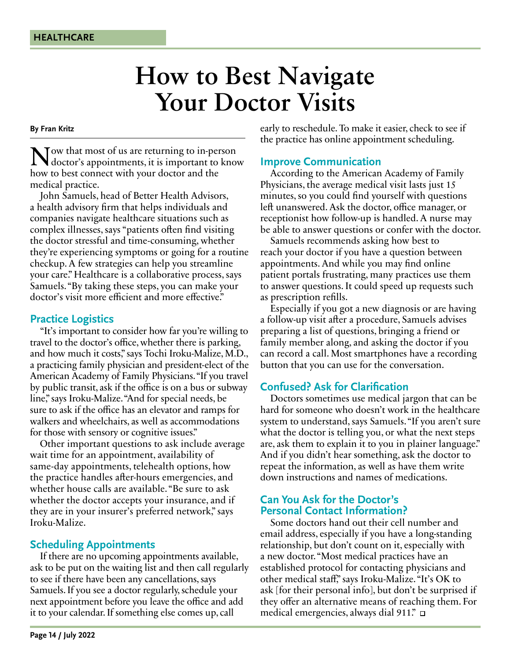### **How to Best Navigate Your Doctor Visits**

#### **By Fran Kritz**

Now that most of us are returning to in-person doctor's appointments, it is important to know how to best connect with your doctor and the medical practice.

John Samuels, head of Better Health Advisors, a health advisory firm that helps individuals and companies navigate healthcare situations such as complex illnesses, says "patients often find visiting the doctor stressful and time-consuming, whether they're experiencing symptoms or going for a routine checkup. A few strategies can help you streamline your care." Healthcare is a collaborative process, says Samuels. "By taking these steps, you can make your doctor's visit more efficient and more effective."

#### **Practice Logistics**

"It's important to consider how far you're willing to travel to the doctor's office, whether there is parking, and how much it costs," says Tochi Iroku-Malize, M.D., a practicing family physician and president-elect of the American Academy of Family Physicians. "If you travel by public transit, ask if the office is on a bus or subway line," says Iroku-Malize. "And for special needs, be sure to ask if the office has an elevator and ramps for walkers and wheelchairs, as well as accommodations for those with sensory or cognitive issues."

Other important questions to ask include average wait time for an appointment, availability of same-day appointments, telehealth options, how the practice handles after-hours emergencies, and whether house calls are available. "Be sure to ask whether the doctor accepts your insurance, and if they are in your insurer's preferred network," says Iroku-Malize.

#### **Scheduling Appointments**

If there are no upcoming appointments available, ask to be put on the waiting list and then call regularly to see if there have been any cancellations, says Samuels. If you see a doctor regularly, schedule your next appointment before you leave the office and add it to your calendar. If something else comes up, call

early to reschedule. To make it easier, check to see if the practice has online appointment scheduling.

#### **Improve Communication**

According to the American Academy of Family Physicians, the average medical visit lasts just 15 minutes, so you could find yourself with questions left unanswered. Ask the doctor, office manager, or receptionist how follow-up is handled. A nurse may be able to answer questions or confer with the doctor.

Samuels recommends asking how best to reach your doctor if you have a question between appointments. And while you may find online patient portals frustrating, many practices use them to answer questions. It could speed up requests such as prescription refills.

Especially if you got a new diagnosis or are having a follow-up visit after a procedure, Samuels advises preparing a list of questions, bringing a friend or family member along, and asking the doctor if you can record a call. Most smartphones have a recording button that you can use for the conversation.

#### **Confused? Ask for Clarification**

Doctors sometimes use medical jargon that can be hard for someone who doesn't work in the healthcare system to understand, says Samuels. "If you aren't sure what the doctor is telling you, or what the next steps are, ask them to explain it to you in plainer language." And if you didn't hear something, ask the doctor to repeat the information, as well as have them write down instructions and names of medications.

#### **Can You Ask for the Doctor's Personal Contact Information?**

Some doctors hand out their cell number and email address, especially if you have a long-standing relationship, but don't count on it, especially with a new doctor. "Most medical practices have an established protocol for contacting physicians and other medical staff," says Iroku-Malize. "It's OK to ask [for their personal info], but don't be surprised if they offer an alternative means of reaching them. For medical emergencies, always dial 911."  $\Box$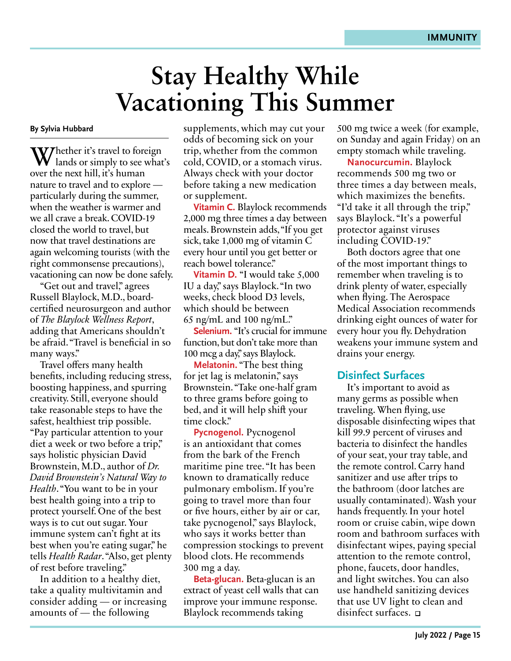### **Stay Healthy While Vacationing This Summer**

#### **By Sylvia Hubbard**

Whether it's travel to foreign<br>lands or simply to see what's over the next hill, it's human nature to travel and to explore particularly during the summer, when the weather is warmer and we all crave a break. COVID-19 closed the world to travel, but now that travel destinations are again welcoming tourists (with the right commonsense precautions), vacationing can now be done safely.

"Get out and travel," agrees Russell Blaylock, M.D., boardcertified neurosurgeon and author of *The Blaylock Wellness Report*, adding that Americans shouldn't be afraid. "Travel is beneficial in so many ways."

Travel offers many health benefits, including reducing stress, boosting happiness, and spurring creativity. Still, everyone should take reasonable steps to have the safest, healthiest trip possible. "Pay particular attention to your diet a week or two before a trip," says holistic physician David Brownstein, M.D., author of *Dr. David Brownstein's Natural Way to Health*. "You want to be in your best health going into a trip to protect yourself. One of the best ways is to cut out sugar. Your immune system can't fight at its best when you're eating sugar," he tells *Health Radar*. "Also, get plenty of rest before traveling."

In addition to a healthy diet, take a quality multivitamin and consider adding — or increasing amounts of — the following

supplements, which may cut your odds of becoming sick on your trip, whether from the common cold, COVID, or a stomach virus. Always check with your doctor before taking a new medication or supplement.

**Vitamin C.** Blaylock recommends 2,000 mg three times a day between meals. Brownstein adds, "If you get sick, take 1,000 mg of vitamin C every hour until you get better or reach bowel tolerance."

**Vitamin D.** "I would take 5,000 IU a day," says Blaylock. "In two weeks, check blood D3 levels, which should be between 65 ng/mL and 100 ng/mL."

**Selenium.** "It's crucial for immune function, but don't take more than 100 mcg a day," says Blaylock.

**Melatonin.** "The best thing for jet lag is melatonin," says Brownstein. "Take one-half gram to three grams before going to bed, and it will help shift your time clock."

**Pycnogenol.** Pycnogenol is an antioxidant that comes from the bark of the French maritime pine tree. "It has been known to dramatically reduce pulmonary embolism. If you're going to travel more than four or five hours, either by air or car, take pycnogenol," says Blaylock, who says it works better than compression stockings to prevent blood clots. He recommends 300 mg a day.

**Beta-glucan.** Beta-glucan is an extract of yeast cell walls that can improve your immune response. Blaylock recommends taking

500 mg twice a week (for example, on Sunday and again Friday) on an empty stomach while traveling.

**Nanocurcumin.** Blaylock recommends 500 mg two or three times a day between meals, which maximizes the benefits. "I'd take it all through the trip," says Blaylock. "It's a powerful protector against viruses including COVID-19."

Both doctors agree that one of the most important things to remember when traveling is to drink plenty of water, especially when flying. The Aerospace Medical Association recommends drinking eight ounces of water for every hour you fly. Dehydration weakens your immune system and drains your energy.

#### **Disinfect Surfaces**

It's important to avoid as many germs as possible when traveling. When flying, use disposable disinfecting wipes that kill 99.9 percent of viruses and bacteria to disinfect the handles of your seat, your tray table, and the remote control. Carry hand sanitizer and use after trips to the bathroom (door latches are usually contaminated). Wash your hands frequently. In your hotel room or cruise cabin, wipe down room and bathroom surfaces with disinfectant wipes, paying special attention to the remote control, phone, faucets, door handles, and light switches. You can also use handheld sanitizing devices that use UV light to clean and disinfect surfaces.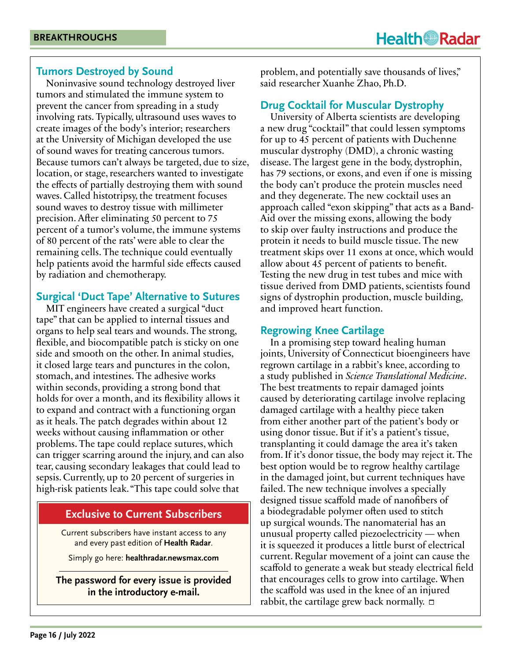#### **Tumors Destroyed by Sound**

Noninvasive sound technology destroyed liver tumors and stimulated the immune system to prevent the cancer from spreading in a study involving rats. Typically, ultrasound uses waves to create images of the body's interior; researchers at the University of Michigan developed the use of sound waves for treating cancerous tumors. Because tumors can't always be targeted, due to size, location, or stage, researchers wanted to investigate the effects of partially destroying them with sound waves. Called histotripsy, the treatment focuses sound waves to destroy tissue with millimeter precision. After eliminating 50 percent to 75 percent of a tumor's volume, the immune systems of 80 percent of the rats' were able to clear the remaining cells. The technique could eventually help patients avoid the harmful side effects caused by radiation and chemotherapy.

#### **Surgical 'Duct Tape' Alternative to Sutures**

MIT engineers have created a surgical "duct tape" that can be applied to internal tissues and organs to help seal tears and wounds. The strong, flexible, and biocompatible patch is sticky on one side and smooth on the other. In animal studies, it closed large tears and punctures in the colon, stomach, and intestines. The adhesive works within seconds, providing a strong bond that holds for over a month, and its flexibility allows it to expand and contract with a functioning organ as it heals. The patch degrades within about 12 weeks without causing inflammation or other problems. The tape could replace sutures, which can trigger scarring around the injury, and can also tear, causing secondary leakages that could lead to sepsis. Currently, up to 20 percent of surgeries in high-risk patients leak. "This tape could solve that

#### **Exclusive to Current Subscribers**

Current subscribers have instant access to any and every past edition of **Health Radar**.

Simply go here: **healthradar.newsmax.com**

**The password for every issue is provided in the introductory e-mail.**

problem, and potentially save thousands of lives," said researcher Xuanhe Zhao, Ph.D.

#### **Drug Cocktail for Muscular Dystrophy**

University of Alberta scientists are developing a new drug "cocktail" that could lessen symptoms for up to 45 percent of patients with Duchenne muscular dystrophy (DMD), a chronic wasting disease. The largest gene in the body, dystrophin, has 79 sections, or exons, and even if one is missing the body can't produce the protein muscles need and they degenerate. The new cocktail uses an approach called "exon skipping" that acts as a Band-Aid over the missing exons, allowing the body to skip over faulty instructions and produce the protein it needs to build muscle tissue. The new treatment skips over 11 exons at once, which would allow about 45 percent of patients to benefit. Testing the new drug in test tubes and mice with tissue derived from DMD patients, scientists found signs of dystrophin production, muscle building, and improved heart function.

#### **Regrowing Knee Cartilage**

In a promising step toward healing human joints, University of Connecticut bioengineers have regrown cartilage in a rabbit's knee, according to a study published in *Science Translational Medicine*. The best treatments to repair damaged joints caused by deteriorating cartilage involve replacing damaged cartilage with a healthy piece taken from either another part of the patient's body or using donor tissue. But if it's a patient's tissue, transplanting it could damage the area it's taken from. If it's donor tissue, the body may reject it. The best option would be to regrow healthy cartilage in the damaged joint, but current techniques have failed. The new technique involves a specially designed tissue scaffold made of nanofibers of a biodegradable polymer often used to stitch up surgical wounds. The nanomaterial has an unusual property called piezoelectricity — when it is squeezed it produces a little burst of electrical current. Regular movement of a joint can cause the scaffold to generate a weak but steady electrical field that encourages cells to grow into cartilage. When the scaffold was used in the knee of an injured rabbit, the cartilage grew back normally.